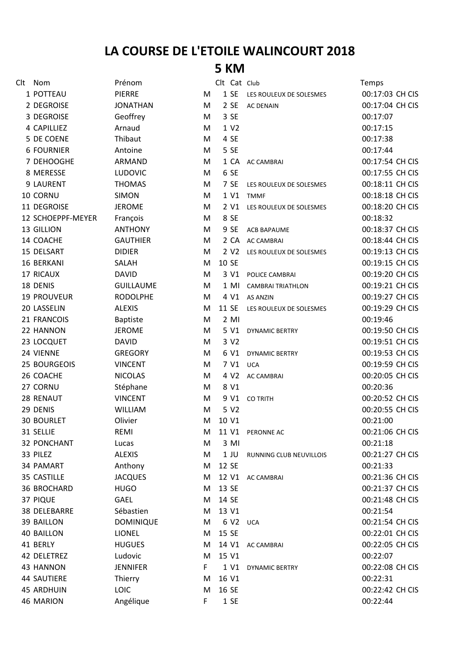## **LA COURSE DE L'ETOILE WALINCOURT 2018**

## **5 KM**

| Clt | Nom                 | Prénom           |    | Clt Cat Club     |                                | Temps           |
|-----|---------------------|------------------|----|------------------|--------------------------------|-----------------|
|     | 1 POTTEAU           | <b>PIERRE</b>    | M  | 1 SE             | LES ROULEUX DE SOLESMES        | 00:17:03 CH CIS |
|     | 2 DEGROISE          | <b>JONATHAN</b>  | M  | 2 SE             | <b>AC DENAIN</b>               | 00:17:04 CH CIS |
|     | 3 DEGROISE          | Geoffrey         | M  | 3 SE             |                                | 00:17:07        |
|     | 4 CAPILLIEZ         | Arnaud           | М  | 1 V2             |                                | 00:17:15        |
|     | 5 DE COENE          | Thibaut          | M  | 4 SE             |                                | 00:17:38        |
|     | <b>6 FOURNIER</b>   | Antoine          | M  | 5 SE             |                                | 00:17:44        |
|     | 7 DEHOOGHE          | ARMAND           | M  | 1 CA             | <b>AC CAMBRAI</b>              | 00:17:54 CH CIS |
|     | 8 MERESSE           | <b>LUDOVIC</b>   | M  | 6 SE             |                                | 00:17:55 CH CIS |
|     | 9 LAURENT           | <b>THOMAS</b>    | M  | 7 SE             | LES ROULEUX DE SOLESMES        | 00:18:11 CH CIS |
|     | 10 CORNU            | <b>SIMON</b>     | М  | 1 V1             | <b>TMMF</b>                    | 00:18:18 CH CIS |
|     | 11 DEGROISE         | <b>JEROME</b>    | M  | 2 V1             | LES ROULEUX DE SOLESMES        | 00:18:20 CH CIS |
|     | 12 SCHOEPPF-MEYER   | François         | M  | 8 SE             |                                | 00:18:32        |
|     | 13 GILLION          | <b>ANTHONY</b>   | М  | 9 SE             | <b>ACB BAPAUME</b>             | 00:18:37 CH CIS |
|     | 14 COACHE           | <b>GAUTHIER</b>  | M  | 2 CA             | <b>AC CAMBRAI</b>              | 00:18:44 CH CIS |
|     | 15 DELSART          | <b>DIDIER</b>    | М  | 2 V <sub>2</sub> | LES ROULEUX DE SOLESMES        | 00:19:13 CH CIS |
|     | 16 BERKANI          | SALAH            | M  | 10 SE            |                                | 00:19:15 CH CIS |
|     | 17 RICAUX           | <b>DAVID</b>     | M  | 3 V1             | POLICE CAMBRAI                 | 00:19:20 CH CIS |
|     | 18 DENIS            | <b>GUILLAUME</b> | M  | $1$ MI           | <b>CAMBRAI TRIATHLON</b>       | 00:19:21 CH CIS |
|     | 19 PROUVEUR         | <b>RODOLPHE</b>  | М  | 4 V1             | <b>AS ANZIN</b>                | 00:19:27 CH CIS |
|     | 20 LASSELIN         | <b>ALEXIS</b>    | M  | 11 SE            | LES ROULEUX DE SOLESMES        | 00:19:29 CH CIS |
|     | 21 FRANCOIS         | <b>Baptiste</b>  | M  | $2$ MI           |                                | 00:19:46        |
|     | 22 HANNON           | <b>JEROME</b>    | M  | 5 V1             | <b>DYNAMIC BERTRY</b>          | 00:19:50 CH CIS |
|     | 23 LOCQUET          | <b>DAVID</b>     | М  | 3 V2             |                                | 00:19:51 CH CIS |
|     | 24 VIENNE           | <b>GREGORY</b>   | M  | 6 V1             | <b>DYNAMIC BERTRY</b>          | 00:19:53 CH CIS |
|     | 25 BOURGEOIS        | <b>VINCENT</b>   | M  | 7 V1             | <b>UCA</b>                     | 00:19:59 CH CIS |
|     | 26 COACHE           | <b>NICOLAS</b>   | M  | 4 V <sub>2</sub> | <b>AC CAMBRAI</b>              | 00:20:05 CH CIS |
|     | 27 CORNU            | Stéphane         | M  | 8 V1             |                                | 00:20:36        |
|     | 28 RENAUT           | <b>VINCENT</b>   | M  | 9 V1             | <b>CO TRITH</b>                | 00:20:52 CH CIS |
|     | 29 DENIS            | <b>WILLIAM</b>   | М  | 5 V2             |                                | 00:20:55 CH CIS |
|     | <b>30 BOURLET</b>   | Olivier          | M  | 10 V1            |                                | 00:21:00        |
|     | 31 SELLIE           | REMI             | м  |                  | 11 V1 PERONNE AC               | 00:21:06 CH CIS |
|     | <b>32 PONCHANT</b>  | Lucas            | М  | 3 MI             |                                | 00:21:18        |
|     | 33 PILEZ            | <b>ALEXIS</b>    | M  | $1$ JU           | <b>RUNNING CLUB NEUVILLOIS</b> | 00:21:27 CH CIS |
|     | 34 PAMART           | Anthony          | м  | 12 SE            |                                | 00:21:33        |
|     | 35 CASTILLE         | <b>JACQUES</b>   | м  | 12 V1            | <b>AC CAMBRAI</b>              | 00:21:36 CH CIS |
|     | 36 BROCHARD         | <b>HUGO</b>      | м  | 13 SE            |                                | 00:21:37 CH CIS |
|     | 37 PIQUE            | <b>GAEL</b>      | м  | 14 SE            |                                | 00:21:48 CH CIS |
|     | <b>38 DELEBARRE</b> | Sébastien        | м  | 13 V1            |                                | 00:21:54        |
|     | <b>39 BAILLON</b>   | <b>DOMINIQUE</b> | м  | 6 V <sub>2</sub> | <b>UCA</b>                     | 00:21:54 CH CIS |
|     | <b>40 BAILLON</b>   | <b>LIONEL</b>    | м  | 15 SE            |                                | 00:22:01 CH CIS |
|     | 41 BERLY            | <b>HUGUES</b>    | м  | 14 V1            | AC CAMBRAI                     | 00:22:05 CH CIS |
|     | 42 DELETREZ         | Ludovic          | м  | 15 V1            |                                | 00:22:07        |
|     | 43 HANNON           | <b>JENNIFER</b>  | F. | 1 V1             | <b>DYNAMIC BERTRY</b>          | 00:22:08 CH CIS |
|     | <b>44 SAUTIERE</b>  | Thierry          | м  | 16 V1            |                                | 00:22:31        |
|     | <b>45 ARDHUIN</b>   | LOIC             | M  | 16 SE            |                                | 00:22:42 CH CIS |
|     | 46 MARION           | Angélique        | F. | 1 SE             |                                | 00:22:44        |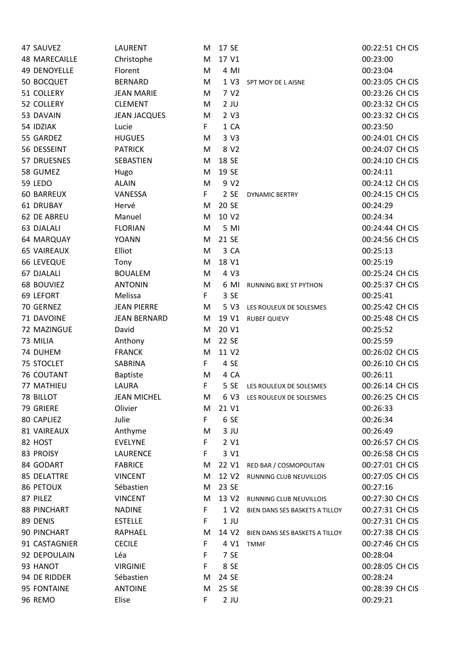| 47 SAUVEZ           | <b>LAURENT</b>      | м  | 17 SE             |                                | 00:22:51 CH CIS |
|---------------------|---------------------|----|-------------------|--------------------------------|-----------------|
| 48 MARECAILLE       | Christophe          | M  | 17 V1             |                                | 00:23:00        |
| <b>49 DENOYELLE</b> | Florent             | M  | 4 MI              |                                | 00:23:04        |
| 50 BOCQUET          | <b>BERNARD</b>      | M  | 1 V3              | SPT MOY DE L AISNE             | 00:23:05 CH CIS |
| 51 COLLERY          | <b>JEAN MARIE</b>   | M  | 7 V <sub>2</sub>  |                                | 00:23:26 CH CIS |
| 52 COLLERY          | <b>CLEMENT</b>      | M  | $2$ JU            |                                | 00:23:32 CH CIS |
| 53 DAVAIN           | <b>JEAN JACQUES</b> | M  | 2 V3              |                                | 00:23:32 CH CIS |
| 54 IDZIAK           | Lucie               | F. | 1 CA              |                                | 00:23:50        |
| 55 GARDEZ           | <b>HUGUES</b>       | M  | 3 V3              |                                | 00:24:01 CH CIS |
| 56 DESSEINT         | <b>PATRICK</b>      | M  | 8 V2              |                                | 00:24:07 CH CIS |
| 57 DRUESNES         | SEBASTIEN           | M  | 18 SE             |                                | 00:24:10 CH CIS |
| 58 GUMEZ            | Hugo                | M  | 19 SE             |                                | 00:24:11        |
| 59 LEDO             | <b>ALAIN</b>        | M  | 9 V2              |                                | 00:24:12 CH CIS |
| <b>60 BARREUX</b>   | VANESSA             | F  | 2SE               | <b>DYNAMIC BERTRY</b>          | 00:24:15 CH CIS |
| 61 DRUBAY           | Hervé               | M  | 20 SE             |                                | 00:24:29        |
| 62 DE ABREU         | Manuel              | M  | 10 V2             |                                | 00:24:34        |
| 63 DJALALI          | <b>FLORIAN</b>      | M  | 5 MI              |                                | 00:24:44 CH CIS |
| 64 MARQUAY          | <b>YOANN</b>        | M  | 21 SE             |                                | 00:24:56 CH CIS |
| <b>65 VAIREAUX</b>  | Elliot              | M  | 3 CA              |                                | 00:25:13        |
| <b>66 LEVEQUE</b>   | Tony                | M  | 18 V1             |                                | 00:25:19        |
| 67 DJALALI          | <b>BOUALEM</b>      | M  | 4 V3              |                                | 00:25:24 CH CIS |
| 68 BOUVIEZ          | <b>ANTONIN</b>      | M  | 6 MI              | RUNNING BIKE ST PYTHON         | 00:25:37 CH CIS |
| 69 LEFORT           | Melissa             | F. | 3 SE              |                                | 00:25:41        |
| 70 GERNEZ           | <b>JEAN PIERRE</b>  | M  | 5 V3              | LES ROULEUX DE SOLESMES        | 00:25:42 CH CIS |
| 71 DAVOINE          | <b>JEAN BERNARD</b> | M  | 19 V1             | <b>RUBEF QUIEVY</b>            | 00:25:48 CH CIS |
| 72 MAZINGUE         | David               | M  | 20 V1             |                                | 00:25:52        |
| 73 MILIA            | Anthony             | M  | 22 SE             |                                | 00:25:59        |
| 74 DUHEM            | <b>FRANCK</b>       | M  | 11 V2             |                                | 00:26:02 CH CIS |
| 75 STOCLET          | SABRINA             | F  | 4 SE              |                                | 00:26:10 CH CIS |
| <b>76 COUTANT</b>   | <b>Baptiste</b>     | M  | 4 CA              |                                | 00:26:11        |
| 77 MATHIEU          | <b>LAURA</b>        | F  | 5 SE              | LES ROULEUX DE SOLESMES        | 00:26:14 CH CIS |
| 78 BILLOT           | <b>JEAN MICHEL</b>  | м  | 6 V3              | LES ROULEUX DE SOLESMES        | 00:26:25 CH CIS |
| 79 GRIERE           | Olivier             | M  | 21 V1             |                                | 00:26:33        |
| 80 CAPLIEZ          | Julie               | F  | 6 SE              |                                | 00:26:34        |
| 81 VAIREAUX         | Anthyme             | M  | $3$ JU            |                                | 00:26:49        |
| 82 HOST             | <b>EVELYNE</b>      | F  | 2 V1              |                                | 00:26:57 CH CIS |
| 83 PROISY           | <b>LAURENCE</b>     | F  | 3 V1              |                                | 00:26:58 CH CIS |
| 84 GODART           | <b>FABRICE</b>      | M  | 22 V1             | RED BAR / COSMOPOLITAN         | 00:27:01 CH CIS |
| <b>85 DELATTRE</b>  | <b>VINCENT</b>      | M  | 12 V2             | RUNNING CLUB NEUVILLOIS        | 00:27:05 CH CIS |
| 86 PETOUX           | Sébastien           | M  | 23 SE             |                                | 00:27:16        |
| 87 PILEZ            | <b>VINCENT</b>      | M  | 13 V2             | <b>RUNNING CLUB NEUVILLOIS</b> | 00:27:30 CH CIS |
| 88 PINCHART         | <b>NADINE</b>       | F  | 1 V <sub>2</sub>  | BIEN DANS SES BASKETS A TILLOY | 00:27:31 CH CIS |
| 89 DENIS            | <b>ESTELLE</b>      | F  | $1$ JU            |                                | 00:27:31 CH CIS |
| 90 PINCHART         | RAPHAEL             | M  | 14 V <sub>2</sub> | BIEN DANS SES BASKETS A TILLOY | 00:27:38 CH CIS |
| 91 CASTAGNIER       | <b>CECILE</b>       | F  | 4 V1              | <b>TMMF</b>                    | 00:27:46 CH CIS |
| 92 DEPOULAIN        | Léa                 | F  | 7 SE              |                                | 00:28:04        |
| 93 HANOT            | <b>VIRGINIE</b>     | F  | 8 SE              |                                | 00:28:05 CH CIS |
| 94 DE RIDDER        | Sébastien           | M  | 24 SE             |                                | 00:28:24        |
| 95 FONTAINE         | <b>ANTOINE</b>      | M  | 25 SE             |                                | 00:28:39 CH CIS |
| 96 REMO             | Elise               | F  | $2$ JU            |                                | 00:29:21        |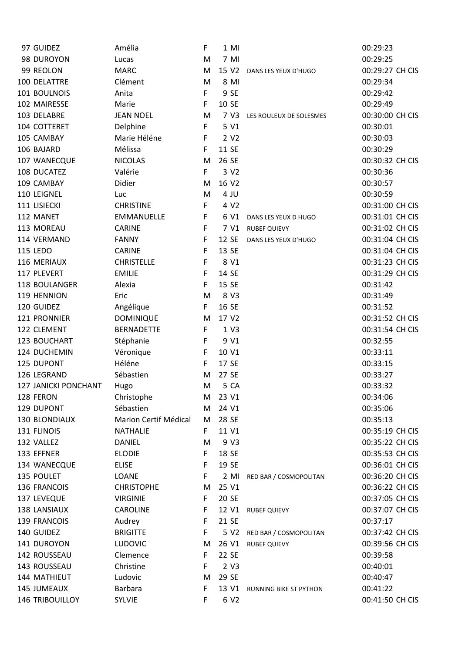| 97 GUIDEZ            | Amélia                | F. | $1$ MI           |                         | 00:29:23        |
|----------------------|-----------------------|----|------------------|-------------------------|-----------------|
| 98 DUROYON           | Lucas                 | M  | 7 MI             |                         | 00:29:25        |
| 99 REOLON            | <b>MARC</b>           | M  | 15 V2            | DANS LES YEUX D'HUGO    | 00:29:27 CH CIS |
| 100 DELATTRE         | Clément               | M  | 8 MI             |                         | 00:29:34        |
| 101 BOULNOIS         | Anita                 | F. | 9 SE             |                         | 00:29:42        |
| 102 MAIRESSE         | Marie                 | F  | 10 SE            |                         | 00:29:49        |
| 103 DELABRE          | <b>JEAN NOEL</b>      | M  | 7 V3             | LES ROULEUX DE SOLESMES | 00:30:00 CH CIS |
| 104 COTTERET         | Delphine              | F  | 5 V1             |                         | 00:30:01        |
| 105 CAMBAY           | Marie Héléne          | F  | 2 V <sub>2</sub> |                         | 00:30:03        |
| 106 BAJARD           | Mélissa               | F. | 11 SE            |                         | 00:30:29        |
| 107 WANECQUE         | <b>NICOLAS</b>        | M  | 26 SE            |                         | 00:30:32 CH CIS |
| 108 DUCATEZ          | Valérie               | F  | 3 V2             |                         | 00:30:36        |
| 109 CAMBAY           | Didier                | M  | 16 V2            |                         | 00:30:57        |
| 110 LEIGNEL          | Luc                   | M  | 4 JU             |                         | 00:30:59        |
| 111 LISIECKI         | <b>CHRISTINE</b>      | F. | 4 V2             |                         | 00:31:00 CH CIS |
| 112 MANET            | EMMANUELLE            | F  | 6 V1             | DANS LES YEUX D HUGO    | 00:31:01 CH CIS |
| 113 MOREAU           | CARINE                | F  | 7 V1             | <b>RUBEF QUIEVY</b>     | 00:31:02 CH CIS |
| 114 VERMAND          | <b>FANNY</b>          | F  | 12 SE            | DANS LES YEUX D'HUGO    | 00:31:04 CH CIS |
| <b>115 LEDO</b>      | <b>CARINE</b>         | F  | 13 SE            |                         | 00:31:04 CH CIS |
| 116 MERIAUX          | <b>CHRISTELLE</b>     | F  | 8 V1             |                         | 00:31:23 CH CIS |
| 117 PLEVERT          | <b>EMILIE</b>         | F  | 14 SE            |                         | 00:31:29 CH CIS |
| 118 BOULANGER        | Alexia                | F  | 15 SE            |                         | 00:31:42        |
| 119 HENNION          | Eric                  | M  | 8 V3             |                         | 00:31:49        |
| 120 GUIDEZ           | Angélique             | F  | 16 SE            |                         | 00:31:52        |
| 121 PRONNIER         | <b>DOMINIQUE</b>      | M  | 17 V2            |                         | 00:31:52 CH CIS |
| 122 CLEMENT          | <b>BERNADETTE</b>     | F  | 1 V3             |                         | 00:31:54 CH CIS |
| 123 BOUCHART         | Stéphanie             | F  | 9 V1             |                         | 00:32:55        |
| 124 DUCHEMIN         | Véronique             | F  | 10 V1            |                         | 00:33:11        |
| 125 DUPONT           | Héléne                | F  | 17 SE            |                         | 00:33:15        |
| 126 LEGRAND          | Sébastien             | M  | 27 SE            |                         | 00:33:27        |
| 127 JANICKI PONCHANT | Hugo                  | M  | 5 CA             |                         | 00:33:32        |
| 128 FERON            | Christophe            | M  | 23 V1            |                         | 00:34:06        |
| 129 DUPONT           | Sébastien             | M  | 24 V1            |                         | 00:35:06        |
| 130 BLONDIAUX        | Marion Certif Médical | M  | 28 SE            |                         | 00:35:13        |
| 131 FLINOIS          | <b>NATHALIE</b>       | F. | 11 V1            |                         | 00:35:19 CH CIS |
| 132 VALLEZ           | <b>DANIEL</b>         | м  | 9 V3             |                         | 00:35:22 CH CIS |
| 133 EFFNER           | <b>ELODIE</b>         | F  | 18 SE            |                         | 00:35:53 CH CIS |
| 134 WANECQUE         | <b>ELISE</b>          | F  | 19 SE            |                         | 00:36:01 CH CIS |
| 135 POULET           | LOANE                 | F  | $2$ MI           | RED BAR / COSMOPOLITAN  | 00:36:20 CH CIS |
| 136 FRANCOIS         | <b>CHRISTOPHE</b>     | м  | 25 V1            |                         | 00:36:22 CH CIS |
| 137 LEVEQUE          | <b>VIRGINIE</b>       | F  | 20 SE            |                         | 00:37:05 CH CIS |
| 138 LANSIAUX         | <b>CAROLINE</b>       | F  | 12 V1            | <b>RUBEF QUIEVY</b>     | 00:37:07 CH CIS |
| 139 FRANCOIS         | Audrey                | F  | 21 SE            |                         | 00:37:17        |
| 140 GUIDEZ           | <b>BRIGITTE</b>       | F  | 5 V <sub>2</sub> | RED BAR / COSMOPOLITAN  | 00:37:42 CH CIS |
| 141 DUROYON          | <b>LUDOVIC</b>        | M  | 26 V1            | <b>RUBEF QUIEVY</b>     | 00:39:56 CH CIS |
| 142 ROUSSEAU         | Clemence              | F. | 22 SE            |                         | 00:39:58        |
| 143 ROUSSEAU         | Christine             | F  | 2 V3             |                         | 00:40:01        |
| 144 MATHIEUT         | Ludovic               | M  | 29 SE            |                         | 00:40:47        |
| 145 JUMEAUX          | <b>Barbara</b>        | F  | 13 V1            | RUNNING BIKE ST PYTHON  | 00:41:22        |
| 146 TRIBOUILLOY      | <b>SYLVIE</b>         | F  | 6 V2             |                         | 00:41:50 CH CIS |